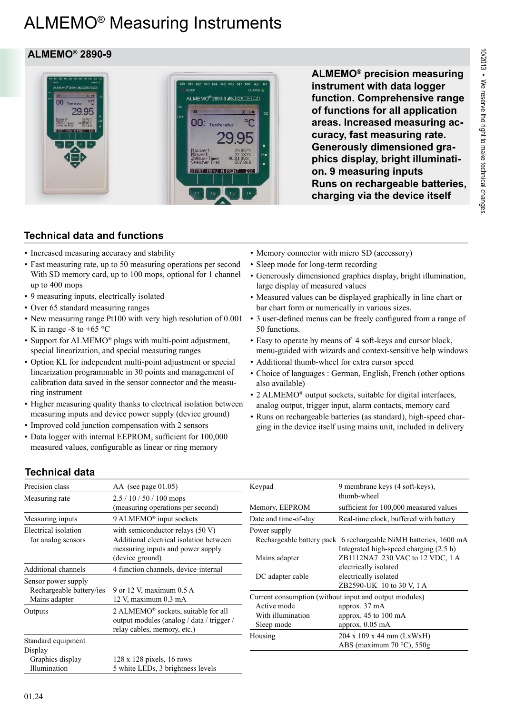# ALMEMO® Measuring Instruments

### **ALMEMO® 2890-9**

29 QF



**ALMEMO® precision measuring instrument with data logger function. Comprehensive range of functions for all application areas. Increased measuring accuracy, fast measuring rate. Generously dimensioned graphics display, bright illumination. 9 measuring inputs Runs on rechargeable batteries, charging via the device itself**

## **Technical data and functions**

- Increased measuring accuracy and stability
- Fast measuring rate, up to 50 measuring operations per second With SD memory card, up to 100 mops, optional for 1 channel up to 400 mops
- 9 measuring inputs, electrically isolated
- Over 65 standard measuring ranges
- New measuring range Pt100 with very high resolution of 0.001 3 user-defined menus can be freely configured from a range of K in range -8 to +65  $\degree$ C
- Support for ALMEMO<sup>®</sup> plugs with multi-point adjustment, special linearization, and special measuring ranges
- Option KL for independent multi-point adjustment or special linearization programmable in 30 points and management of calibration data saved in the sensor connector and the measuring instrument
- Higher measuring quality thanks to electrical isolation between measuring inputs and device power supply (device ground)
- Improved cold junction compensation with 2 sensors
- Data logger with internal EEPROM, sufficient for 100,000 measured values, configurable as linear or ring memory
- Memory connector with micro SD (accessory)
- Sleep mode for long-term recording
- Generously dimensioned graphics display, bright illumination, large display of measured values
- Measured values can be displayed graphically in line chart or bar chart form or numerically in various sizes.
- 50 functions.
- Easy to operate by means of 4 soft-keys and cursor block, menu-guided with wizards and context-sensitive help windows
- Additional thumb-wheel for extra cursor speed
- Choice of languages : German, English, French (other options also available)
- 2 ALMEMO<sup>®</sup> output sockets, suitable for digital interfaces, analog output, trigger input, alarm contacts, memory card
- Runs on rechargeable batteries (as standard), high-speed charging in the device itself using mains unit, included in delivery

## **Technical data**

| Precision class                                                  | $AA$ (see page 01.05)                                                                                                                 | Keypad                                         | 9 membrane keys (4 soft-keys),                                                                                                                                                         |
|------------------------------------------------------------------|---------------------------------------------------------------------------------------------------------------------------------------|------------------------------------------------|----------------------------------------------------------------------------------------------------------------------------------------------------------------------------------------|
| Measuring rate                                                   | $2.5/10/50/100$ mops<br>(measuring operations per second)                                                                             |                                                | thumb-wheel                                                                                                                                                                            |
|                                                                  |                                                                                                                                       | Memory, EEPROM                                 | sufficient for 100,000 measured values                                                                                                                                                 |
| Measuring inputs                                                 | $9$ ALMEMO <sup>®</sup> input sockets                                                                                                 | Date and time-of-day                           | Real-time clock, buffered with battery                                                                                                                                                 |
| Electrical isolation<br>for analog sensors                       | with semiconductor relays $(50 V)$<br>Additional electrical isolation between<br>measuring inputs and power supply<br>(device ground) | Power supply<br>Mains adapter                  | Rechargeable battery pack 6 rechargeable NiMH batteries, 1600 mA<br>Integrated high-speed charging (2.5 h)<br>ZB1112NA7 230 VAC to 12 VDC, 1 A                                         |
| Additional channels                                              | 4 function channels, device-internal                                                                                                  |                                                | electrically isolated                                                                                                                                                                  |
| Sensor power supply<br>Rechargeable battery/ies<br>Mains adapter | 9 or 12 V, maximum 0.5 A<br>12 V, maximum 0.3 mA                                                                                      | DC adapter cable                               | electrically isolated<br>ZB2590-UK 10 to 30 V, 1 A<br>Current consumption (without input and output modules)<br>approx. 37 mA<br>approx. $45$ to $100$ mA<br>approx. $0.05 \text{ mA}$ |
| Outputs                                                          | 2 ALMEMO <sup>®</sup> sockets, suitable for all<br>output modules (analog / data / trigger /<br>relay cables, memory, etc.)           | Active mode<br>With illumination<br>Sleep mode |                                                                                                                                                                                        |
| Standard equipment<br>Display                                    |                                                                                                                                       | Housing                                        | $204 \times 109 \times 44$ mm (LxWxH)<br>ABS (maximum $70^{\circ}$ C), $550g$                                                                                                          |
| Graphics display<br>Illumination                                 | $128 \times 128$ pixels, 16 rows<br>5 white LEDs, 3 brightness levels                                                                 |                                                |                                                                                                                                                                                        |